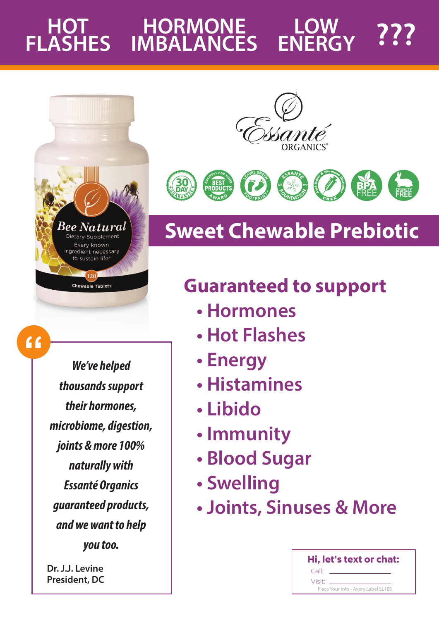#### **HOT FLASHES HORMONE MBALANCES** LOW ???



Chewable Tablets

 $66$ 

*We've helped thousands support their hormones, microbiome, digestion, joints & more 100% naturally with Essanté Organics guaranteed products, and we want to help you too.*

**Dr. J.J. Levine President, DC**





# **Sweet Chewable Prebiotic**

## **Guaranteed to support**

- Hormones
- Hot Flashes
- Energy
- Histamines
- · Libido
- Immunity
- **· Blood Sugar**
- · Swelling
- · Joints, Sinuses & More

| Hi, let's text or chat:             |
|-------------------------------------|
| Call:                               |
| Visit:                              |
| Place Your Info - Avery Label SL105 |